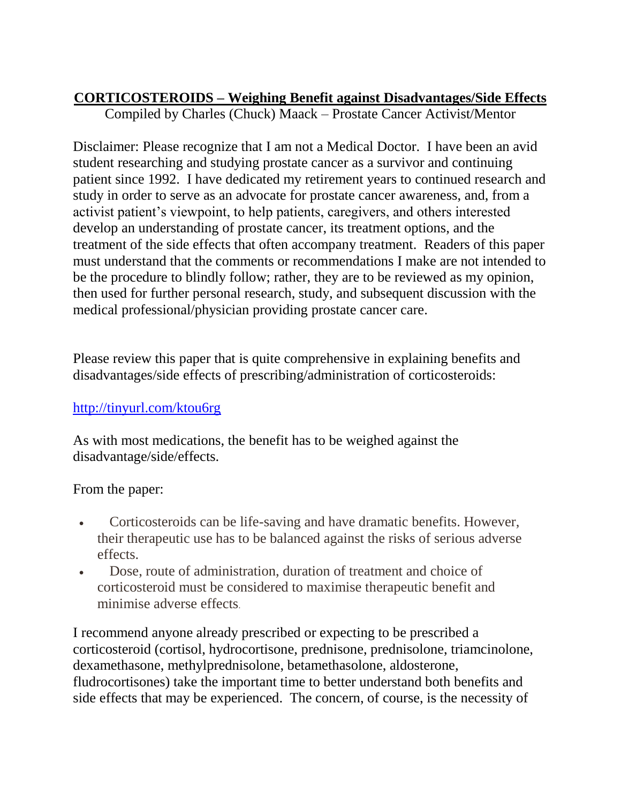## **CORTICOSTEROIDS – Weighing Benefit against Disadvantages/Side Effects**

Compiled by Charles (Chuck) Maack – Prostate Cancer Activist/Mentor

Disclaimer: Please recognize that I am not a Medical Doctor. I have been an avid student researching and studying prostate cancer as a survivor and continuing patient since 1992. I have dedicated my retirement years to continued research and study in order to serve as an advocate for prostate cancer awareness, and, from a activist patient's viewpoint, to help patients, caregivers, and others interested develop an understanding of prostate cancer, its treatment options, and the treatment of the side effects that often accompany treatment. Readers of this paper must understand that the comments or recommendations I make are not intended to be the procedure to blindly follow; rather, they are to be reviewed as my opinion, then used for further personal research, study, and subsequent discussion with the medical professional/physician providing prostate cancer care.

Please review this paper that is quite comprehensive in explaining benefits and disadvantages/side effects of prescribing/administration of corticosteroids:

## <http://tinyurl.com/ktou6rg>

As with most medications, the benefit has to be weighed against the disadvantage/side/effects.

From the paper:

- Corticosteroids can be life-saving and have dramatic benefits. However, their therapeutic use has to be balanced against the risks of serious adverse effects.
- Dose, route of administration, duration of treatment and choice of corticosteroid must be considered to maximise therapeutic benefit and minimise adverse effects.

I recommend anyone already prescribed or expecting to be prescribed a corticosteroid (cortisol, hydrocortisone, prednisone, prednisolone, triamcinolone, dexamethasone, methylprednisolone, betamethasolone, aldosterone, fludrocortisones) take the important time to better understand both benefits and side effects that may be experienced. The concern, of course, is the necessity of